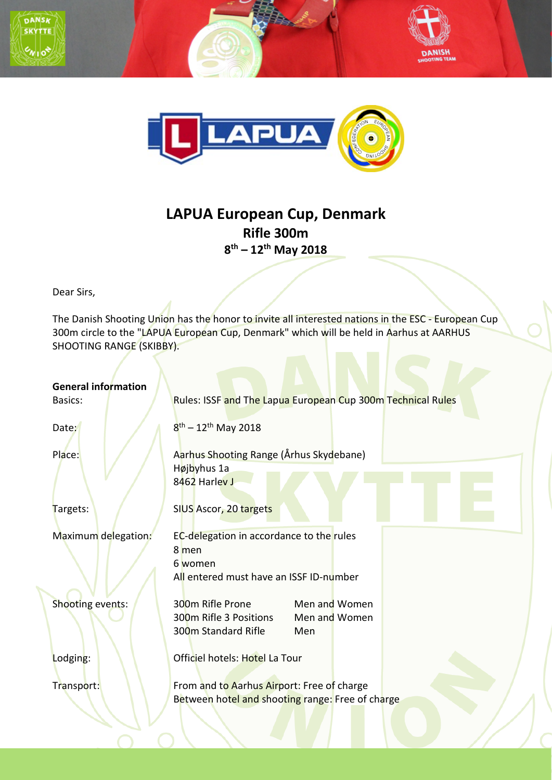





## **LAPUA European Cup, Denmark Rifle 300m 8th – 12th May 2018**

Dear Sirs,

The Danish Shooting Union has the honor to invite all interested nations in the ESC - European Cup 300m circle to the "LAPUA European Cup, Denmark" which will be held in Aarhus at AARHUS SHOOTING RANGE (SKIBBY).

| <b>General information</b><br>Basics: | Rules: ISSF and The Lapua European Cup 300m Technical Rules                                                            |
|---------------------------------------|------------------------------------------------------------------------------------------------------------------------|
| Date:                                 | $8^{\text{th}} - 12^{\text{th}}$ May 2018                                                                              |
| Place:                                | Aarhus Shooting Range (Århus Skydebane)<br>Højbyhus 1a<br>8462 Harley J                                                |
| Targets:                              | SIUS Ascor, 20 targets                                                                                                 |
| Maximum delegation:                   | EC-delegation in accordance to the rules<br>8 men<br>6 women<br>All entered must have an ISSF ID-number                |
| Shooting events:                      | 300m Rifle Prone<br>Men and Women<br>300m Rifle 3 Positions<br>Men and Women<br>300 <sub>m</sub> Standard Rifle<br>Men |
| Lodging:                              | Officiel hotels: Hotel La Tour                                                                                         |
| Transport:                            | From and to Aarhus Airport: Free of charge<br>Between hotel and shooting range: Free of charge                         |